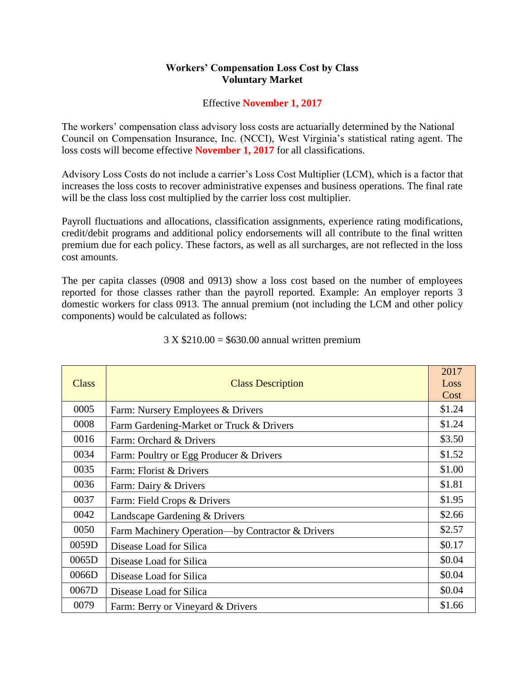## **Workers' Compensation Loss Cost by Class Voluntary Market**

## Effective **November 1, 2017**

The workers' compensation class advisory loss costs are actuarially determined by the National Council on Compensation Insurance, Inc. (NCCI), West Virginia's statistical rating agent. The loss costs will become effective **November 1, 2017** for all classifications.

Advisory Loss Costs do not include a carrier's Loss Cost Multiplier (LCM), which is a factor that increases the loss costs to recover administrative expenses and business operations. The final rate will be the class loss cost multiplied by the carrier loss cost multiplier.

Payroll fluctuations and allocations, classification assignments, experience rating modifications, credit/debit programs and additional policy endorsements will all contribute to the final written premium due for each policy. These factors, as well as all surcharges, are not reflected in the loss cost amounts.

The per capita classes (0908 and 0913) show a loss cost based on the number of employees reported for those classes rather than the payroll reported. Example: An employer reports 3 domestic workers for class 0913. The annual premium (not including the LCM and other policy components) would be calculated as follows:

| Class | <b>Class Description</b>                         | 2017<br>Loss<br>Cost |
|-------|--------------------------------------------------|----------------------|
| 0005  | Farm: Nursery Employees & Drivers                | \$1.24               |
| 0008  | Farm Gardening-Market or Truck & Drivers         | \$1.24               |
| 0016  | Farm: Orchard & Drivers                          | \$3.50               |
| 0034  | Farm: Poultry or Egg Producer & Drivers          | \$1.52               |
| 0035  | Farm: Florist & Drivers                          | \$1.00               |
| 0036  | Farm: Dairy & Drivers                            | \$1.81               |
| 0037  | Farm: Field Crops & Drivers                      | \$1.95               |
| 0042  | Landscape Gardening & Drivers                    | \$2.66               |
| 0050  | Farm Machinery Operation—by Contractor & Drivers | \$2.57               |
| 0059D | Disease Load for Silica                          | \$0.17               |
| 0065D | Disease Load for Silica                          | \$0.04               |
| 0066D | Disease Load for Silica                          | \$0.04               |
| 0067D | Disease Load for Silica                          | \$0.04               |
| 0079  | Farm: Berry or Vineyard & Drivers                | \$1.66               |

## 3 X \$210.00 = \$630.00 annual written premium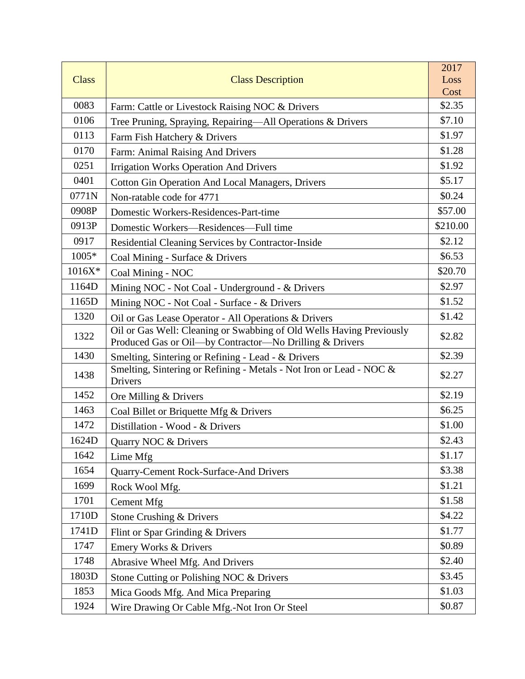|              |                                                                                                                                 | 2017     |
|--------------|---------------------------------------------------------------------------------------------------------------------------------|----------|
| <b>Class</b> | <b>Class Description</b>                                                                                                        | Loss     |
|              |                                                                                                                                 | Cost     |
| 0083         | Farm: Cattle or Livestock Raising NOC & Drivers                                                                                 | \$2.35   |
| 0106         | Tree Pruning, Spraying, Repairing-All Operations & Drivers                                                                      | \$7.10   |
| 0113         | Farm Fish Hatchery & Drivers                                                                                                    | \$1.97   |
| 0170         | Farm: Animal Raising And Drivers                                                                                                | \$1.28   |
| 0251         | <b>Irrigation Works Operation And Drivers</b>                                                                                   | \$1.92   |
| 0401         | <b>Cotton Gin Operation And Local Managers, Drivers</b>                                                                         | \$5.17   |
| 0771N        | Non-ratable code for 4771                                                                                                       | \$0.24   |
| 0908P        | Domestic Workers-Residences-Part-time                                                                                           | \$57.00  |
| 0913P        | Domestic Workers-Residences-Full time                                                                                           | \$210.00 |
| 0917         | Residential Cleaning Services by Contractor-Inside                                                                              | \$2.12   |
| 1005*        | Coal Mining - Surface & Drivers                                                                                                 | \$6.53   |
| 1016X*       | Coal Mining - NOC                                                                                                               | \$20.70  |
| 1164D        | Mining NOC - Not Coal - Underground - & Drivers                                                                                 | \$2.97   |
| 1165D        | Mining NOC - Not Coal - Surface - & Drivers                                                                                     | \$1.52   |
| 1320         | Oil or Gas Lease Operator - All Operations & Drivers                                                                            | \$1.42   |
| 1322         | Oil or Gas Well: Cleaning or Swabbing of Old Wells Having Previously<br>Produced Gas or Oil-by Contractor-No Drilling & Drivers | \$2.82   |
| 1430         | Smelting, Sintering or Refining - Lead - & Drivers                                                                              | \$2.39   |
| 1438         | Smelting, Sintering or Refining - Metals - Not Iron or Lead - NOC &<br>Drivers                                                  | \$2.27   |
| 1452         | Ore Milling & Drivers                                                                                                           | \$2.19   |
| 1463         | Coal Billet or Briquette Mfg & Drivers                                                                                          | \$6.25   |
| 1472         | Distillation - Wood - & Drivers                                                                                                 | \$1.00   |
| 1624D        | Quarry NOC & Drivers                                                                                                            | \$2.43   |
| 1642         | Lime Mfg                                                                                                                        | \$1.17   |
| 1654         | Quarry-Cement Rock-Surface-And Drivers                                                                                          | \$3.38   |
| 1699         | Rock Wool Mfg.                                                                                                                  | \$1.21   |
| 1701         | <b>Cement Mfg</b>                                                                                                               | \$1.58   |
| 1710D        | Stone Crushing & Drivers                                                                                                        | \$4.22   |
| 1741D        | Flint or Spar Grinding & Drivers                                                                                                | \$1.77   |
| 1747         | Emery Works & Drivers                                                                                                           | \$0.89   |
| 1748         | Abrasive Wheel Mfg. And Drivers                                                                                                 | \$2.40   |
| 1803D        | Stone Cutting or Polishing NOC & Drivers                                                                                        | \$3.45   |
| 1853         | Mica Goods Mfg. And Mica Preparing                                                                                              | \$1.03   |
| 1924         | Wire Drawing Or Cable Mfg.-Not Iron Or Steel                                                                                    | \$0.87   |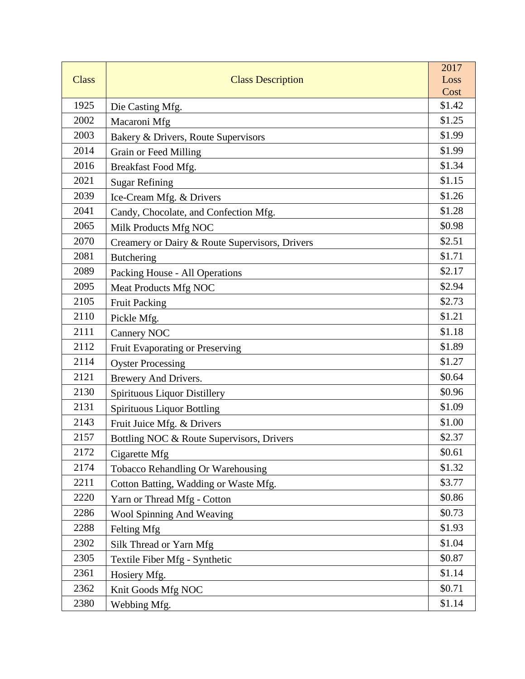|              |                                                | 2017           |
|--------------|------------------------------------------------|----------------|
| <b>Class</b> | <b>Class Description</b>                       | Loss           |
| 1925         |                                                | Cost<br>\$1.42 |
| 2002         | Die Casting Mfg.                               | \$1.25         |
| 2003         | Macaroni Mfg                                   | \$1.99         |
|              | Bakery & Drivers, Route Supervisors            |                |
| 2014         | Grain or Feed Milling                          | \$1.99         |
| 2016         | Breakfast Food Mfg.                            | \$1.34         |
| 2021         | <b>Sugar Refining</b>                          | \$1.15         |
| 2039         | Ice-Cream Mfg. & Drivers                       | \$1.26         |
| 2041         | Candy, Chocolate, and Confection Mfg.          | \$1.28         |
| 2065         | Milk Products Mfg NOC                          | \$0.98         |
| 2070         | Creamery or Dairy & Route Supervisors, Drivers | \$2.51         |
| 2081         | Butchering                                     | \$1.71         |
| 2089         | Packing House - All Operations                 | \$2.17         |
| 2095         | Meat Products Mfg NOC                          | \$2.94         |
| 2105         | <b>Fruit Packing</b>                           | \$2.73         |
| 2110         | Pickle Mfg.                                    | \$1.21         |
| 2111         | <b>Cannery NOC</b>                             | \$1.18         |
| 2112         | Fruit Evaporating or Preserving                | \$1.89         |
| 2114         | <b>Oyster Processing</b>                       | \$1.27         |
| 2121         | Brewery And Drivers.                           | \$0.64         |
| 2130         | Spirituous Liquor Distillery                   | \$0.96         |
| 2131         | <b>Spirituous Liquor Bottling</b>              | \$1.09         |
| 2143         | Fruit Juice Mfg. & Drivers                     | \$1.00         |
| 2157         | Bottling NOC & Route Supervisors, Drivers      | \$2.37         |
| 2172         | Cigarette Mfg                                  | \$0.61         |
| 2174         | Tobacco Rehandling Or Warehousing              | \$1.32         |
| 2211         | Cotton Batting, Wadding or Waste Mfg.          | \$3.77         |
| 2220         | Yarn or Thread Mfg - Cotton                    | \$0.86         |
| 2286         | Wool Spinning And Weaving                      | \$0.73         |
| 2288         | Felting Mfg                                    | \$1.93         |
| 2302         | Silk Thread or Yarn Mfg                        | \$1.04         |
| 2305         | Textile Fiber Mfg - Synthetic                  | \$0.87         |
| 2361         | Hosiery Mfg.                                   | \$1.14         |
| 2362         | Knit Goods Mfg NOC                             | \$0.71         |
| 2380         | Webbing Mfg.                                   | \$1.14         |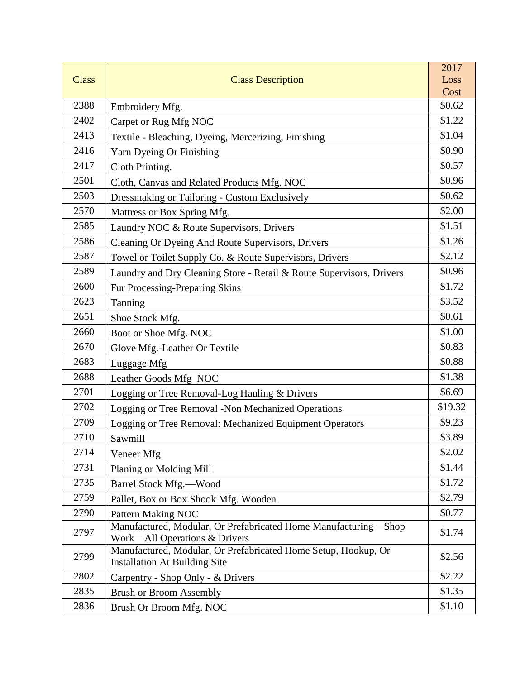|              |                                                                                                        | 2017           |
|--------------|--------------------------------------------------------------------------------------------------------|----------------|
| <b>Class</b> | <b>Class Description</b>                                                                               | Loss           |
| 2388         |                                                                                                        | Cost<br>\$0.62 |
| 2402         | Embroidery Mfg.                                                                                        | \$1.22         |
| 2413         | Carpet or Rug Mfg NOC                                                                                  | \$1.04         |
| 2416         | Textile - Bleaching, Dyeing, Mercerizing, Finishing                                                    | \$0.90         |
|              | Yarn Dyeing Or Finishing                                                                               |                |
| 2417         | Cloth Printing.                                                                                        | \$0.57         |
| 2501         | Cloth, Canvas and Related Products Mfg. NOC                                                            | \$0.96         |
| 2503         | Dressmaking or Tailoring - Custom Exclusively                                                          | \$0.62         |
| 2570         | Mattress or Box Spring Mfg.                                                                            | \$2.00         |
| 2585         | Laundry NOC & Route Supervisors, Drivers                                                               | \$1.51         |
| 2586         | Cleaning Or Dyeing And Route Supervisors, Drivers                                                      | \$1.26         |
| 2587         | Towel or Toilet Supply Co. & Route Supervisors, Drivers                                                | \$2.12         |
| 2589         | Laundry and Dry Cleaning Store - Retail & Route Supervisors, Drivers                                   | \$0.96         |
| 2600         | Fur Processing-Preparing Skins                                                                         | \$1.72         |
| 2623         | Tanning                                                                                                | \$3.52         |
| 2651         | Shoe Stock Mfg.                                                                                        | \$0.61         |
| 2660         | Boot or Shoe Mfg. NOC                                                                                  | \$1.00         |
| 2670         | Glove Mfg.-Leather Or Textile                                                                          | \$0.83         |
| 2683         | Luggage Mfg                                                                                            | \$0.88         |
| 2688         | Leather Goods Mfg NOC                                                                                  | \$1.38         |
| 2701         | Logging or Tree Removal-Log Hauling & Drivers                                                          | \$6.69         |
| 2702         | Logging or Tree Removal -Non Mechanized Operations                                                     | \$19.32        |
| 2709         | Logging or Tree Removal: Mechanized Equipment Operators                                                | \$9.23         |
| 2710         | Sawmill                                                                                                | \$3.89         |
| 2714         | Veneer Mfg                                                                                             | \$2.02         |
| 2731         | Planing or Molding Mill                                                                                | \$1.44         |
| 2735         | Barrel Stock Mfg.-Wood                                                                                 | \$1.72         |
| 2759         | Pallet, Box or Box Shook Mfg. Wooden                                                                   | \$2.79         |
| 2790         | <b>Pattern Making NOC</b>                                                                              | \$0.77         |
| 2797         | Manufactured, Modular, Or Prefabricated Home Manufacturing-Shop<br>Work—All Operations & Drivers       | \$1.74         |
| 2799         | Manufactured, Modular, Or Prefabricated Home Setup, Hookup, Or<br><b>Installation At Building Site</b> | \$2.56         |
| 2802         | Carpentry - Shop Only - & Drivers                                                                      | \$2.22         |
| 2835         | <b>Brush or Broom Assembly</b>                                                                         | \$1.35         |
| 2836         | Brush Or Broom Mfg. NOC                                                                                | \$1.10         |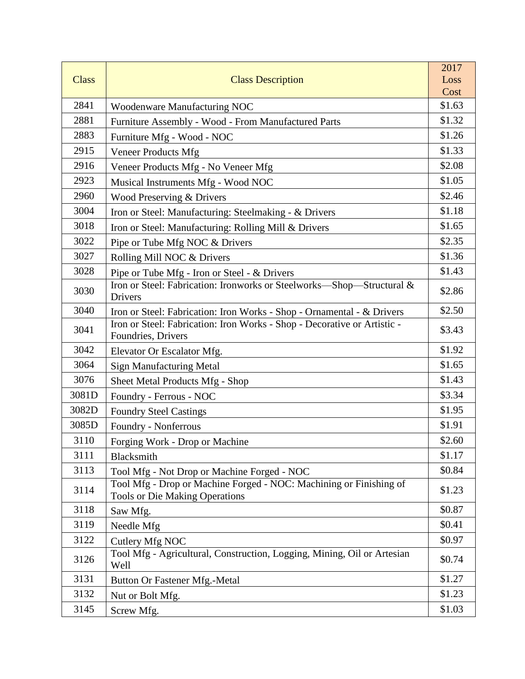|              |                                                                                                             | 2017           |
|--------------|-------------------------------------------------------------------------------------------------------------|----------------|
| <b>Class</b> | <b>Class Description</b>                                                                                    | Loss           |
| 2841         |                                                                                                             | Cost<br>\$1.63 |
|              | <b>Woodenware Manufacturing NOC</b>                                                                         |                |
| 2881         | Furniture Assembly - Wood - From Manufactured Parts                                                         | \$1.32         |
| 2883         | Furniture Mfg - Wood - NOC                                                                                  | \$1.26         |
| 2915         | <b>Veneer Products Mfg</b>                                                                                  | \$1.33         |
| 2916         | Veneer Products Mfg - No Veneer Mfg                                                                         | \$2.08         |
| 2923         | Musical Instruments Mfg - Wood NOC                                                                          | \$1.05         |
| 2960         | Wood Preserving & Drivers                                                                                   | \$2.46         |
| 3004         | Iron or Steel: Manufacturing: Steelmaking - & Drivers                                                       | \$1.18         |
| 3018         | Iron or Steel: Manufacturing: Rolling Mill & Drivers                                                        | \$1.65         |
| 3022         | Pipe or Tube Mfg NOC & Drivers                                                                              | \$2.35         |
| 3027         | Rolling Mill NOC & Drivers                                                                                  | \$1.36         |
| 3028         | Pipe or Tube Mfg - Iron or Steel - & Drivers                                                                | \$1.43         |
| 3030         | Iron or Steel: Fabrication: Ironworks or Steelworks-Shop-Structural &<br>Drivers                            | \$2.86         |
| 3040         | Iron or Steel: Fabrication: Iron Works - Shop - Ornamental - & Drivers                                      | \$2.50         |
| 3041         | Iron or Steel: Fabrication: Iron Works - Shop - Decorative or Artistic -<br>Foundries, Drivers              | \$3.43         |
| 3042         | Elevator Or Escalator Mfg.                                                                                  | \$1.92         |
| 3064         | <b>Sign Manufacturing Metal</b>                                                                             | \$1.65         |
| 3076         | Sheet Metal Products Mfg - Shop                                                                             | \$1.43         |
| 3081D        | Foundry - Ferrous - NOC                                                                                     | \$3.34         |
| 3082D        | <b>Foundry Steel Castings</b>                                                                               | \$1.95         |
| 3085D        | Foundry - Nonferrous                                                                                        | \$1.91         |
| 3110         | Forging Work - Drop or Machine                                                                              | \$2.60         |
| 3111         | Blacksmith                                                                                                  | \$1.17         |
| 3113         | Tool Mfg - Not Drop or Machine Forged - NOC                                                                 | \$0.84         |
| 3114         | Tool Mfg - Drop or Machine Forged - NOC: Machining or Finishing of<br><b>Tools or Die Making Operations</b> | \$1.23         |
| 3118         | Saw Mfg.                                                                                                    | \$0.87         |
| 3119         | Needle Mfg                                                                                                  | \$0.41         |
| 3122         | Cutlery Mfg NOC                                                                                             | \$0.97         |
| 3126         | Tool Mfg - Agricultural, Construction, Logging, Mining, Oil or Artesian<br>Well                             | \$0.74         |
| 3131         | <b>Button Or Fastener Mfg.-Metal</b>                                                                        | \$1.27         |
| 3132         | Nut or Bolt Mfg.                                                                                            | \$1.23         |
| 3145         | Screw Mfg.                                                                                                  | \$1.03         |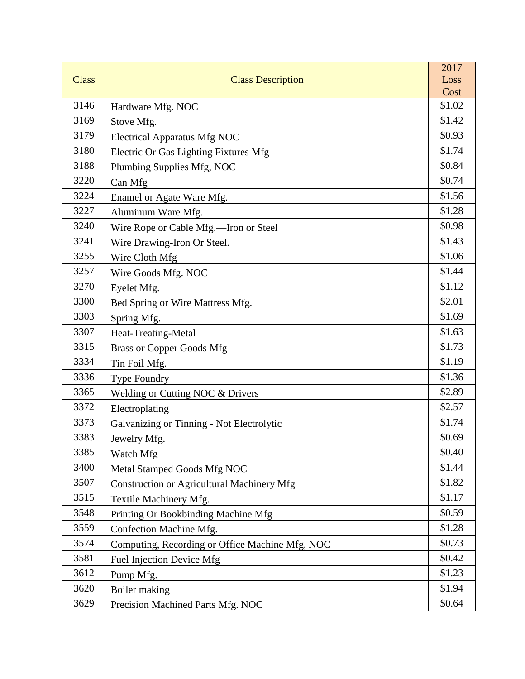|              |                                                   | 2017           |
|--------------|---------------------------------------------------|----------------|
| <b>Class</b> | <b>Class Description</b>                          | Loss           |
| 3146         |                                                   | Cost<br>\$1.02 |
| 3169         | Hardware Mfg. NOC                                 | \$1.42         |
| 3179         | Stove Mfg.                                        | \$0.93         |
| 3180         | <b>Electrical Apparatus Mfg NOC</b>               | \$1.74         |
| 3188         | Electric Or Gas Lighting Fixtures Mfg             | \$0.84         |
| 3220         | Plumbing Supplies Mfg, NOC                        | \$0.74         |
| 3224         | Can Mfg                                           | \$1.56         |
|              | Enamel or Agate Ware Mfg.                         |                |
| 3227         | Aluminum Ware Mfg.                                | \$1.28         |
| 3240         | Wire Rope or Cable Mfg.-Iron or Steel             | \$0.98         |
| 3241         | Wire Drawing-Iron Or Steel.                       | \$1.43         |
| 3255         | Wire Cloth Mfg                                    | \$1.06         |
| 3257         | Wire Goods Mfg. NOC                               | \$1.44         |
| 3270         | Eyelet Mfg.                                       | \$1.12         |
| 3300         | Bed Spring or Wire Mattress Mfg.                  | \$2.01         |
| 3303         | Spring Mfg.                                       | \$1.69         |
| 3307         | Heat-Treating-Metal                               | \$1.63         |
| 3315         | <b>Brass or Copper Goods Mfg</b>                  | \$1.73         |
| 3334         | Tin Foil Mfg.                                     | \$1.19         |
| 3336         | Type Foundry                                      | \$1.36         |
| 3365         | Welding or Cutting NOC & Drivers                  | \$2.89         |
| 3372         | Electroplating                                    | \$2.57         |
| 3373         | Galvanizing or Tinning - Not Electrolytic         | \$1.74         |
| 3383         | Jewelry Mfg.                                      | \$0.69         |
| 3385         | Watch Mfg                                         | \$0.40         |
| 3400         | Metal Stamped Goods Mfg NOC                       | \$1.44         |
| 3507         | <b>Construction or Agricultural Machinery Mfg</b> | \$1.82         |
| 3515         | Textile Machinery Mfg.                            | \$1.17         |
| 3548         | Printing Or Bookbinding Machine Mfg               | \$0.59         |
| 3559         | Confection Machine Mfg.                           | \$1.28         |
| 3574         | Computing, Recording or Office Machine Mfg, NOC   | \$0.73         |
| 3581         | Fuel Injection Device Mfg                         | \$0.42         |
| 3612         | Pump Mfg.                                         | \$1.23         |
| 3620         | Boiler making                                     | \$1.94         |
| 3629         | Precision Machined Parts Mfg. NOC                 | \$0.64         |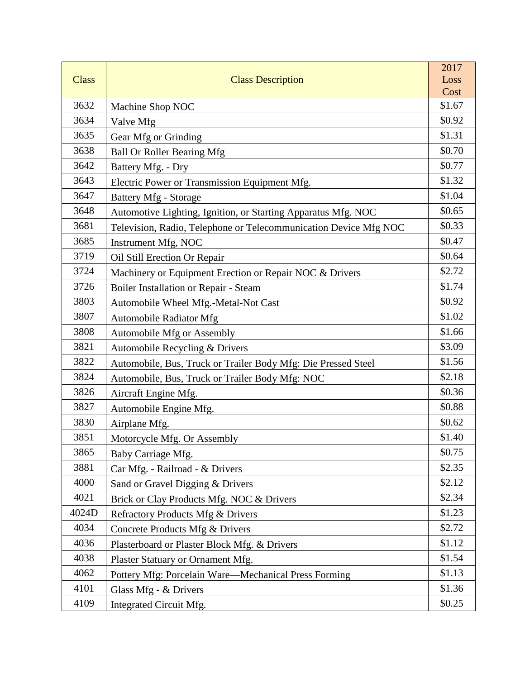|              |                                                                  | 2017           |
|--------------|------------------------------------------------------------------|----------------|
| <b>Class</b> | <b>Class Description</b>                                         | Loss           |
| 3632         |                                                                  | Cost<br>\$1.67 |
| 3634         | Machine Shop NOC                                                 | \$0.92         |
| 3635         | Valve Mfg                                                        | \$1.31         |
| 3638         | Gear Mfg or Grinding                                             | \$0.70         |
|              | <b>Ball Or Roller Bearing Mfg</b>                                |                |
| 3642         | Battery Mfg. - Dry                                               | \$0.77         |
| 3643         | Electric Power or Transmission Equipment Mfg.                    | \$1.32         |
| 3647         | Battery Mfg - Storage                                            | \$1.04         |
| 3648         | Automotive Lighting, Ignition, or Starting Apparatus Mfg. NOC    | \$0.65         |
| 3681         | Television, Radio, Telephone or Telecommunication Device Mfg NOC | \$0.33         |
| 3685         | Instrument Mfg, NOC                                              | \$0.47         |
| 3719         | Oil Still Erection Or Repair                                     | \$0.64         |
| 3724         | Machinery or Equipment Erection or Repair NOC & Drivers          | \$2.72         |
| 3726         | Boiler Installation or Repair - Steam                            | \$1.74         |
| 3803         | Automobile Wheel Mfg.-Metal-Not Cast                             | \$0.92         |
| 3807         | <b>Automobile Radiator Mfg</b>                                   | \$1.02         |
| 3808         | Automobile Mfg or Assembly                                       | \$1.66         |
| 3821         | Automobile Recycling & Drivers                                   | \$3.09         |
| 3822         | Automobile, Bus, Truck or Trailer Body Mfg: Die Pressed Steel    | \$1.56         |
| 3824         | Automobile, Bus, Truck or Trailer Body Mfg: NOC                  | \$2.18         |
| 3826         | Aircraft Engine Mfg.                                             | \$0.36         |
| 3827         | Automobile Engine Mfg.                                           | \$0.88         |
| 3830         | Airplane Mfg.                                                    | \$0.62         |
| 3851         | Motorcycle Mfg. Or Assembly                                      | \$1.40         |
| 3865         | Baby Carriage Mfg.                                               | \$0.75         |
| 3881         | Car Mfg. - Railroad - & Drivers                                  | \$2.35         |
| 4000         | Sand or Gravel Digging & Drivers                                 | \$2.12         |
| 4021         | Brick or Clay Products Mfg. NOC & Drivers                        | \$2.34         |
| 4024D        | Refractory Products Mfg & Drivers                                | \$1.23         |
| 4034         | Concrete Products Mfg & Drivers                                  | \$2.72         |
| 4036         | Plasterboard or Plaster Block Mfg. & Drivers                     | \$1.12         |
| 4038         | Plaster Statuary or Ornament Mfg.                                | \$1.54         |
| 4062         | Pottery Mfg: Porcelain Ware-Mechanical Press Forming             | \$1.13         |
| 4101         | Glass Mfg - & Drivers                                            | \$1.36         |
| 4109         | Integrated Circuit Mfg.                                          | \$0.25         |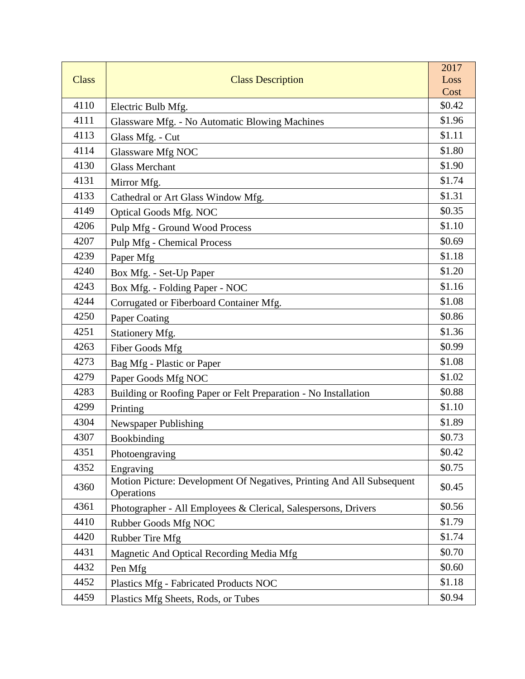|              |                                                                                     | 2017   |
|--------------|-------------------------------------------------------------------------------------|--------|
| <b>Class</b> | <b>Class Description</b>                                                            | Loss   |
|              |                                                                                     | Cost   |
| 4110         | Electric Bulb Mfg.                                                                  | \$0.42 |
| 4111         | Glassware Mfg. - No Automatic Blowing Machines                                      | \$1.96 |
| 4113         | Glass Mfg. - Cut                                                                    | \$1.11 |
| 4114         | Glassware Mfg NOC                                                                   | \$1.80 |
| 4130         | <b>Glass Merchant</b>                                                               | \$1.90 |
| 4131         | Mirror Mfg.                                                                         | \$1.74 |
| 4133         | Cathedral or Art Glass Window Mfg.                                                  | \$1.31 |
| 4149         | <b>Optical Goods Mfg. NOC</b>                                                       | \$0.35 |
| 4206         | Pulp Mfg - Ground Wood Process                                                      | \$1.10 |
| 4207         | <b>Pulp Mfg</b> - Chemical Process                                                  | \$0.69 |
| 4239         | Paper Mfg                                                                           | \$1.18 |
| 4240         | Box Mfg. - Set-Up Paper                                                             | \$1.20 |
| 4243         | Box Mfg. - Folding Paper - NOC                                                      | \$1.16 |
| 4244         | Corrugated or Fiberboard Container Mfg.                                             | \$1.08 |
| 4250         | Paper Coating                                                                       | \$0.86 |
| 4251         | Stationery Mfg.                                                                     | \$1.36 |
| 4263         | Fiber Goods Mfg                                                                     | \$0.99 |
| 4273         | Bag Mfg - Plastic or Paper                                                          | \$1.08 |
| 4279         | Paper Goods Mfg NOC                                                                 | \$1.02 |
| 4283         | Building or Roofing Paper or Felt Preparation - No Installation                     | \$0.88 |
| 4299         | Printing                                                                            | \$1.10 |
| 4304         | Newspaper Publishing                                                                | \$1.89 |
| 4307         | Bookbinding                                                                         | \$0.73 |
| 4351         | Photoengraving                                                                      | \$0.42 |
| 4352         | Engraving                                                                           | \$0.75 |
| 4360         | Motion Picture: Development Of Negatives, Printing And All Subsequent<br>Operations | \$0.45 |
| 4361         | Photographer - All Employees & Clerical, Salespersons, Drivers                      | \$0.56 |
| 4410         | Rubber Goods Mfg NOC                                                                | \$1.79 |
| 4420         | Rubber Tire Mfg                                                                     | \$1.74 |
| 4431         | Magnetic And Optical Recording Media Mfg                                            | \$0.70 |
| 4432         | Pen Mfg                                                                             | \$0.60 |
| 4452         | Plastics Mfg - Fabricated Products NOC                                              | \$1.18 |
| 4459         | Plastics Mfg Sheets, Rods, or Tubes                                                 | \$0.94 |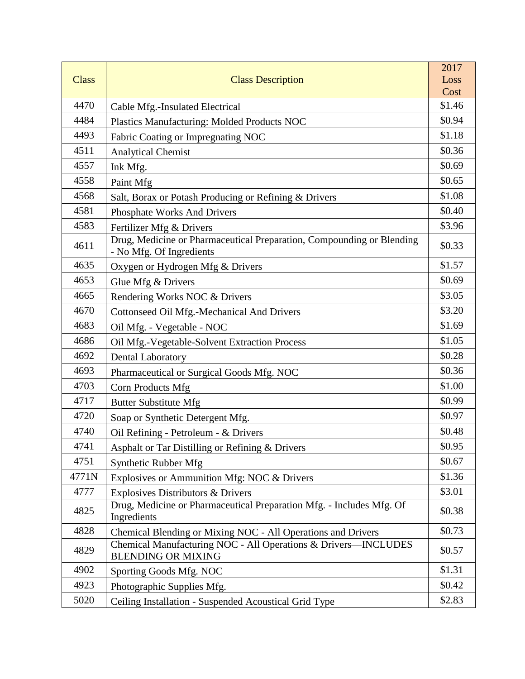|              |                                                                                                   | 2017           |
|--------------|---------------------------------------------------------------------------------------------------|----------------|
| <b>Class</b> | <b>Class Description</b>                                                                          | Loss           |
| 4470         |                                                                                                   | Cost<br>\$1.46 |
| 4484         | Cable Mfg.-Insulated Electrical                                                                   | \$0.94         |
| 4493         | Plastics Manufacturing: Molded Products NOC                                                       | \$1.18         |
| 4511         | Fabric Coating or Impregnating NOC                                                                | \$0.36         |
| 4557         | <b>Analytical Chemist</b>                                                                         | \$0.69         |
| 4558         | Ink Mfg.                                                                                          | \$0.65         |
| 4568         | Paint Mfg                                                                                         | \$1.08         |
| 4581         | Salt, Borax or Potash Producing or Refining & Drivers                                             | \$0.40         |
|              | Phosphate Works And Drivers                                                                       |                |
| 4583         | Fertilizer Mfg & Drivers                                                                          | \$3.96         |
| 4611         | Drug, Medicine or Pharmaceutical Preparation, Compounding or Blending<br>- No Mfg. Of Ingredients | \$0.33         |
| 4635         | Oxygen or Hydrogen Mfg & Drivers                                                                  | \$1.57         |
| 4653         | Glue Mfg & Drivers                                                                                | \$0.69         |
| 4665         | Rendering Works NOC & Drivers                                                                     | \$3.05         |
| 4670         | Cottonseed Oil Mfg.-Mechanical And Drivers                                                        | \$3.20         |
| 4683         | Oil Mfg. - Vegetable - NOC                                                                        | \$1.69         |
| 4686         | Oil Mfg.-Vegetable-Solvent Extraction Process                                                     | \$1.05         |
| 4692         | <b>Dental Laboratory</b>                                                                          | \$0.28         |
| 4693         | Pharmaceutical or Surgical Goods Mfg. NOC                                                         | \$0.36         |
| 4703         | Corn Products Mfg                                                                                 | \$1.00         |
| 4717         | <b>Butter Substitute Mfg</b>                                                                      | \$0.99         |
| 4720         | Soap or Synthetic Detergent Mfg.                                                                  | \$0.97         |
| 4740         | Oil Refining - Petroleum - & Drivers                                                              | \$0.48         |
| 4741         | Asphalt or Tar Distilling or Refining & Drivers                                                   | \$0.95         |
| 4751         | Synthetic Rubber Mfg                                                                              | \$0.67         |
| 4771N        | Explosives or Ammunition Mfg: NOC & Drivers                                                       | \$1.36         |
| 4777         | <b>Explosives Distributors &amp; Drivers</b>                                                      | \$3.01         |
| 4825         | Drug, Medicine or Pharmaceutical Preparation Mfg. - Includes Mfg. Of<br>Ingredients               | \$0.38         |
| 4828         | Chemical Blending or Mixing NOC - All Operations and Drivers                                      | \$0.73         |
| 4829         | Chemical Manufacturing NOC - All Operations & Drivers-INCLUDES<br><b>BLENDING OR MIXING</b>       | \$0.57         |
| 4902         | Sporting Goods Mfg. NOC                                                                           | \$1.31         |
| 4923         | Photographic Supplies Mfg.                                                                        | \$0.42         |
| 5020         | Ceiling Installation - Suspended Acoustical Grid Type                                             | \$2.83         |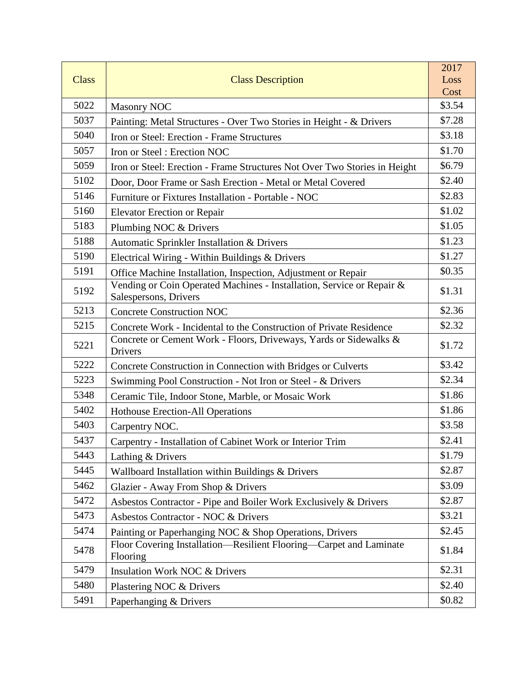|              |                                                                                                | 2017   |
|--------------|------------------------------------------------------------------------------------------------|--------|
| <b>Class</b> | <b>Class Description</b>                                                                       | Loss   |
|              |                                                                                                | Cost   |
| 5022         | <b>Masonry NOC</b>                                                                             | \$3.54 |
| 5037         | Painting: Metal Structures - Over Two Stories in Height - & Drivers                            | \$7.28 |
| 5040         | Iron or Steel: Erection - Frame Structures                                                     | \$3.18 |
| 5057         | Iron or Steel: Erection NOC                                                                    | \$1.70 |
| 5059         | Iron or Steel: Erection - Frame Structures Not Over Two Stories in Height                      | \$6.79 |
| 5102         | Door, Door Frame or Sash Erection - Metal or Metal Covered                                     | \$2.40 |
| 5146         | Furniture or Fixtures Installation - Portable - NOC                                            | \$2.83 |
| 5160         | <b>Elevator Erection or Repair</b>                                                             | \$1.02 |
| 5183         | Plumbing NOC & Drivers                                                                         | \$1.05 |
| 5188         | Automatic Sprinkler Installation & Drivers                                                     | \$1.23 |
| 5190         | Electrical Wiring - Within Buildings & Drivers                                                 | \$1.27 |
| 5191         | Office Machine Installation, Inspection, Adjustment or Repair                                  | \$0.35 |
| 5192         | Vending or Coin Operated Machines - Installation, Service or Repair &<br>Salespersons, Drivers | \$1.31 |
| 5213         | <b>Concrete Construction NOC</b>                                                               | \$2.36 |
| 5215         | Concrete Work - Incidental to the Construction of Private Residence                            | \$2.32 |
| 5221         | Concrete or Cement Work - Floors, Driveways, Yards or Sidewalks &<br>Drivers                   | \$1.72 |
| 5222         | Concrete Construction in Connection with Bridges or Culverts                                   | \$3.42 |
| 5223         | Swimming Pool Construction - Not Iron or Steel - & Drivers                                     | \$2.34 |
| 5348         | Ceramic Tile, Indoor Stone, Marble, or Mosaic Work                                             | \$1.86 |
| 5402         | <b>Hothouse Erection-All Operations</b>                                                        | \$1.86 |
| 5403         | Carpentry NOC.                                                                                 | \$3.58 |
| 5437         | Carpentry - Installation of Cabinet Work or Interior Trim                                      | \$2.41 |
| 5443         | Lathing & Drivers                                                                              | \$1.79 |
| 5445         | Wallboard Installation within Buildings & Drivers                                              | \$2.87 |
| 5462         | Glazier - Away From Shop & Drivers                                                             | \$3.09 |
| 5472         | Asbestos Contractor - Pipe and Boiler Work Exclusively & Drivers                               | \$2.87 |
| 5473         | Asbestos Contractor - NOC & Drivers                                                            | \$3.21 |
| 5474         | Painting or Paperhanging NOC & Shop Operations, Drivers                                        | \$2.45 |
| 5478         | Floor Covering Installation-Resilient Flooring-Carpet and Laminate<br>Flooring                 | \$1.84 |
| 5479         | Insulation Work NOC & Drivers                                                                  | \$2.31 |
| 5480         | Plastering NOC & Drivers                                                                       | \$2.40 |
| 5491         | Paperhanging & Drivers                                                                         | \$0.82 |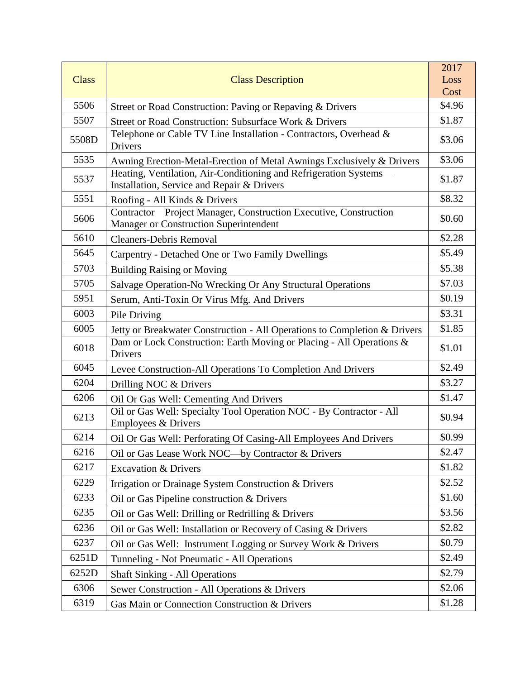|              |                                                                                                                 | 2017   |
|--------------|-----------------------------------------------------------------------------------------------------------------|--------|
| <b>Class</b> | <b>Class Description</b>                                                                                        | Loss   |
|              |                                                                                                                 | Cost   |
| 5506         | Street or Road Construction: Paving or Repaving & Drivers                                                       | \$4.96 |
| 5507         | Street or Road Construction: Subsurface Work & Drivers                                                          | \$1.87 |
| 5508D        | Telephone or Cable TV Line Installation - Contractors, Overhead &<br>Drivers                                    | \$3.06 |
| 5535         | Awning Erection-Metal-Erection of Metal Awnings Exclusively & Drivers                                           | \$3.06 |
| 5537         | Heating, Ventilation, Air-Conditioning and Refrigeration Systems-<br>Installation, Service and Repair & Drivers | \$1.87 |
| 5551         | Roofing - All Kinds & Drivers                                                                                   | \$8.32 |
| 5606         | Contractor-Project Manager, Construction Executive, Construction<br>Manager or Construction Superintendent      | \$0.60 |
| 5610         | <b>Cleaners-Debris Removal</b>                                                                                  | \$2.28 |
| 5645         | Carpentry - Detached One or Two Family Dwellings                                                                | \$5.49 |
| 5703         | <b>Building Raising or Moving</b>                                                                               | \$5.38 |
| 5705         | Salvage Operation-No Wrecking Or Any Structural Operations                                                      | \$7.03 |
| 5951         | Serum, Anti-Toxin Or Virus Mfg. And Drivers                                                                     | \$0.19 |
| 6003         | Pile Driving                                                                                                    | \$3.31 |
| 6005         | Jetty or Breakwater Construction - All Operations to Completion & Drivers                                       | \$1.85 |
| 6018         | Dam or Lock Construction: Earth Moving or Placing - All Operations &<br>Drivers                                 | \$1.01 |
| 6045         | Levee Construction-All Operations To Completion And Drivers                                                     | \$2.49 |
| 6204         | Drilling NOC & Drivers                                                                                          | \$3.27 |
| 6206         | Oil Or Gas Well: Cementing And Drivers                                                                          | \$1.47 |
| 6213         | Oil or Gas Well: Specialty Tool Operation NOC - By Contractor - All<br>Employees & Drivers                      | \$0.94 |
| 6214         | Oil Or Gas Well: Perforating Of Casing-All Employees And Drivers                                                | \$0.99 |
| 6216         | Oil or Gas Lease Work NOC-by Contractor & Drivers                                                               | \$2.47 |
| 6217         | <b>Excavation &amp; Drivers</b>                                                                                 | \$1.82 |
| 6229         | Irrigation or Drainage System Construction & Drivers                                                            | \$2.52 |
| 6233         | Oil or Gas Pipeline construction & Drivers                                                                      | \$1.60 |
| 6235         | Oil or Gas Well: Drilling or Redrilling & Drivers                                                               | \$3.56 |
| 6236         | Oil or Gas Well: Installation or Recovery of Casing & Drivers                                                   | \$2.82 |
| 6237         | Oil or Gas Well: Instrument Logging or Survey Work & Drivers                                                    | \$0.79 |
| 6251D        | Tunneling - Not Pneumatic - All Operations                                                                      | \$2.49 |
| 6252D        | <b>Shaft Sinking - All Operations</b>                                                                           | \$2.79 |
| 6306         | Sewer Construction - All Operations & Drivers                                                                   | \$2.06 |
| 6319         | Gas Main or Connection Construction & Drivers                                                                   | \$1.28 |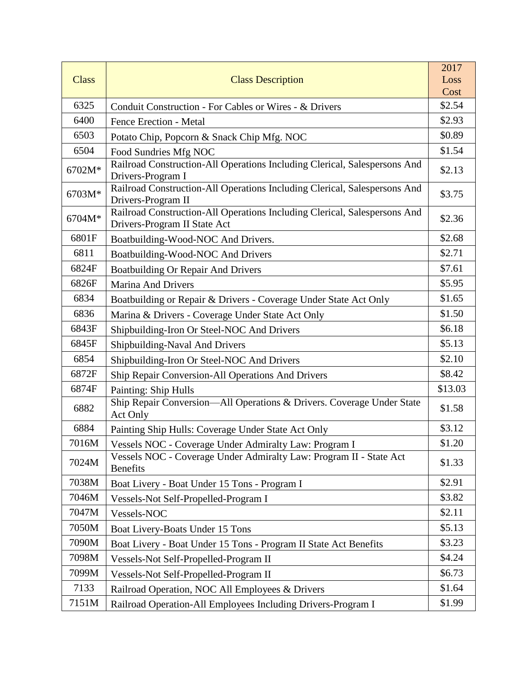|              |                                                                                                           | 2017    |
|--------------|-----------------------------------------------------------------------------------------------------------|---------|
| <b>Class</b> | <b>Class Description</b>                                                                                  | Loss    |
|              |                                                                                                           | Cost    |
| 6325         | Conduit Construction - For Cables or Wires - & Drivers                                                    | \$2.54  |
| 6400         | Fence Erection - Metal                                                                                    | \$2.93  |
| 6503         | Potato Chip, Popcorn & Snack Chip Mfg. NOC                                                                | \$0.89  |
| 6504         | Food Sundries Mfg NOC                                                                                     | \$1.54  |
| 6702M*       | Railroad Construction-All Operations Including Clerical, Salespersons And<br>Drivers-Program I            | \$2.13  |
| 6703M*       | Railroad Construction-All Operations Including Clerical, Salespersons And<br>Drivers-Program II           | \$3.75  |
| 6704M*       | Railroad Construction-All Operations Including Clerical, Salespersons And<br>Drivers-Program II State Act | \$2.36  |
| 6801F        | Boatbuilding-Wood-NOC And Drivers.                                                                        | \$2.68  |
| 6811         | Boatbuilding-Wood-NOC And Drivers                                                                         | \$2.71  |
| 6824F        | Boatbuilding Or Repair And Drivers                                                                        | \$7.61  |
| 6826F        | <b>Marina And Drivers</b>                                                                                 | \$5.95  |
| 6834         | Boatbuilding or Repair & Drivers - Coverage Under State Act Only                                          | \$1.65  |
| 6836         | Marina & Drivers - Coverage Under State Act Only                                                          | \$1.50  |
| 6843F        | Shipbuilding-Iron Or Steel-NOC And Drivers                                                                | \$6.18  |
| 6845F        | Shipbuilding-Naval And Drivers                                                                            | \$5.13  |
| 6854         | Shipbuilding-Iron Or Steel-NOC And Drivers                                                                | \$2.10  |
| 6872F        | Ship Repair Conversion-All Operations And Drivers                                                         | \$8.42  |
| 6874F        | <b>Painting: Ship Hulls</b>                                                                               | \$13.03 |
| 6882         | Ship Repair Conversion-All Operations & Drivers. Coverage Under State<br><b>Act Only</b>                  | \$1.58  |
| 6884         | Painting Ship Hulls: Coverage Under State Act Only                                                        | \$3.12  |
| 7016M        | Vessels NOC - Coverage Under Admiralty Law: Program I                                                     | \$1.20  |
| 7024M        | Vessels NOC - Coverage Under Admiralty Law: Program II - State Act<br><b>Benefits</b>                     | \$1.33  |
| 7038M        | Boat Livery - Boat Under 15 Tons - Program I                                                              | \$2.91  |
| 7046M        | Vessels-Not Self-Propelled-Program I                                                                      | \$3.82  |
| 7047M        | Vessels-NOC                                                                                               | \$2.11  |
| 7050M        | Boat Livery-Boats Under 15 Tons                                                                           | \$5.13  |
| 7090M        | Boat Livery - Boat Under 15 Tons - Program II State Act Benefits                                          | \$3.23  |
| 7098M        | Vessels-Not Self-Propelled-Program II                                                                     | \$4.24  |
| 7099M        | Vessels-Not Self-Propelled-Program II                                                                     | \$6.73  |
| 7133         | Railroad Operation, NOC All Employees & Drivers                                                           | \$1.64  |
| 7151M        | Railroad Operation-All Employees Including Drivers-Program I                                              | \$1.99  |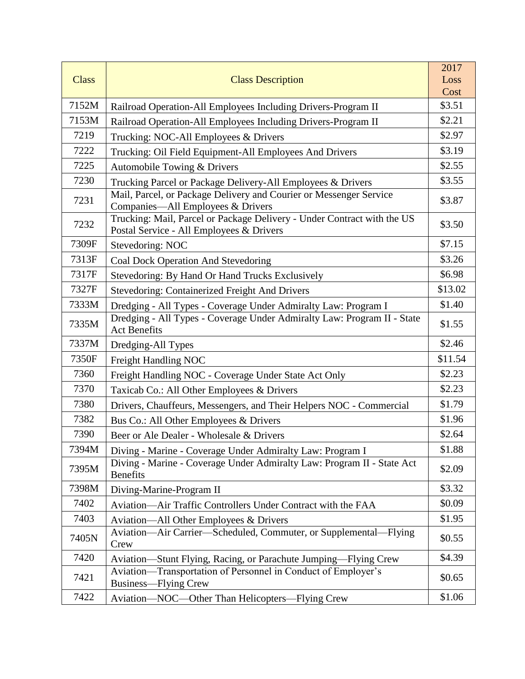|              |                                                                                                                     | 2017    |
|--------------|---------------------------------------------------------------------------------------------------------------------|---------|
| <b>Class</b> | <b>Class Description</b>                                                                                            | Loss    |
|              |                                                                                                                     | Cost    |
| 7152M        | Railroad Operation-All Employees Including Drivers-Program II                                                       | \$3.51  |
| 7153M        | Railroad Operation-All Employees Including Drivers-Program II                                                       | \$2.21  |
| 7219         | Trucking: NOC-All Employees & Drivers                                                                               | \$2.97  |
| 7222         | Trucking: Oil Field Equipment-All Employees And Drivers                                                             | \$3.19  |
| 7225         | Automobile Towing & Drivers                                                                                         | \$2.55  |
| 7230         | Trucking Parcel or Package Delivery-All Employees & Drivers                                                         | \$3.55  |
| 7231         | Mail, Parcel, or Package Delivery and Courier or Messenger Service<br>Companies-All Employees & Drivers             | \$3.87  |
| 7232         | Trucking: Mail, Parcel or Package Delivery - Under Contract with the US<br>Postal Service - All Employees & Drivers | \$3.50  |
| 7309F        | Stevedoring: NOC                                                                                                    | \$7.15  |
| 7313F        | Coal Dock Operation And Stevedoring                                                                                 | \$3.26  |
| 7317F        | Stevedoring: By Hand Or Hand Trucks Exclusively                                                                     | \$6.98  |
| 7327F        | <b>Stevedoring: Containerized Freight And Drivers</b>                                                               | \$13.02 |
| 7333M        | Dredging - All Types - Coverage Under Admiralty Law: Program I                                                      | \$1.40  |
| 7335M        | Dredging - All Types - Coverage Under Admiralty Law: Program II - State<br><b>Act Benefits</b>                      | \$1.55  |
| 7337M        | Dredging-All Types                                                                                                  | \$2.46  |
| 7350F        | Freight Handling NOC                                                                                                | \$11.54 |
| 7360         | Freight Handling NOC - Coverage Under State Act Only                                                                | \$2.23  |
| 7370         | Taxicab Co.: All Other Employees & Drivers                                                                          | \$2.23  |
| 7380         | Drivers, Chauffeurs, Messengers, and Their Helpers NOC - Commercial                                                 | \$1.79  |
| 7382         | Bus Co.: All Other Employees & Drivers                                                                              | \$1.96  |
| 7390         | Beer or Ale Dealer - Wholesale & Drivers                                                                            | \$2.64  |
| 7394M        | Diving - Marine - Coverage Under Admiralty Law: Program I                                                           | \$1.88  |
| 7395M        | Diving - Marine - Coverage Under Admiralty Law: Program II - State Act<br><b>Benefits</b>                           | \$2.09  |
| 7398M        | Diving-Marine-Program II                                                                                            | \$3.32  |
| 7402         | Aviation—Air Traffic Controllers Under Contract with the FAA                                                        | \$0.09  |
| 7403         | Aviation—All Other Employees & Drivers                                                                              | \$1.95  |
| 7405N        | Aviation-Air Carrier-Scheduled, Commuter, or Supplemental-Flying<br>Crew                                            | \$0.55  |
| 7420         | Aviation—Stunt Flying, Racing, or Parachute Jumping—Flying Crew                                                     | \$4.39  |
| 7421         | Aviation—Transportation of Personnel in Conduct of Employer's<br>Business-Flying Crew                               | \$0.65  |
| 7422         | Aviation-NOC-Other Than Helicopters-Flying Crew                                                                     | \$1.06  |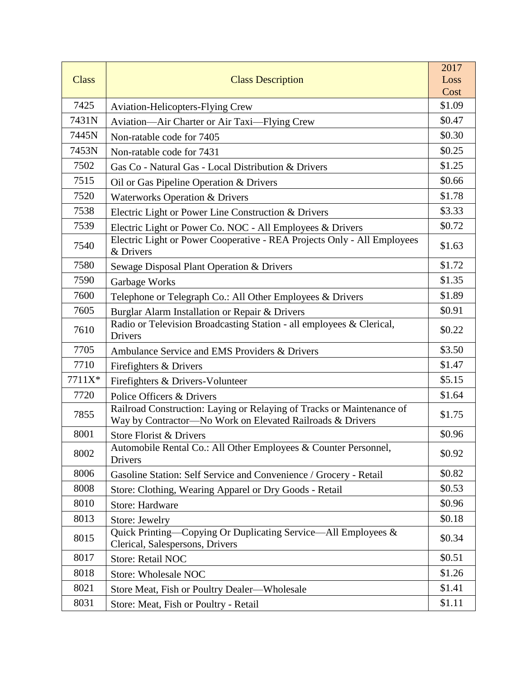|              |                                                                                                                                    | 2017   |
|--------------|------------------------------------------------------------------------------------------------------------------------------------|--------|
| <b>Class</b> | <b>Class Description</b>                                                                                                           | Loss   |
|              |                                                                                                                                    | Cost   |
| 7425         | <b>Aviation-Helicopters-Flying Crew</b>                                                                                            | \$1.09 |
| 7431N        | Aviation—Air Charter or Air Taxi—Flying Crew                                                                                       | \$0.47 |
| 7445N        | Non-ratable code for 7405                                                                                                          | \$0.30 |
| 7453N        | Non-ratable code for 7431                                                                                                          | \$0.25 |
| 7502         | Gas Co - Natural Gas - Local Distribution & Drivers                                                                                | \$1.25 |
| 7515         | Oil or Gas Pipeline Operation & Drivers                                                                                            | \$0.66 |
| 7520         | <b>Waterworks Operation &amp; Drivers</b>                                                                                          | \$1.78 |
| 7538         | Electric Light or Power Line Construction & Drivers                                                                                | \$3.33 |
| 7539         | Electric Light or Power Co. NOC - All Employees & Drivers                                                                          | \$0.72 |
| 7540         | Electric Light or Power Cooperative - REA Projects Only - All Employees<br>& Drivers                                               | \$1.63 |
| 7580         | Sewage Disposal Plant Operation & Drivers                                                                                          | \$1.72 |
| 7590         | Garbage Works                                                                                                                      | \$1.35 |
| 7600         | Telephone or Telegraph Co.: All Other Employees & Drivers                                                                          | \$1.89 |
| 7605         | Burglar Alarm Installation or Repair & Drivers                                                                                     | \$0.91 |
| 7610         | Radio or Television Broadcasting Station - all employees & Clerical,<br>Drivers                                                    | \$0.22 |
| 7705         | Ambulance Service and EMS Providers & Drivers                                                                                      | \$3.50 |
| 7710         | Firefighters & Drivers                                                                                                             | \$1.47 |
| 7711X*       | Firefighters & Drivers-Volunteer                                                                                                   | \$5.15 |
| 7720         | Police Officers & Drivers                                                                                                          | \$1.64 |
| 7855         | Railroad Construction: Laying or Relaying of Tracks or Maintenance of<br>Way by Contractor-No Work on Elevated Railroads & Drivers | \$1.75 |
| 8001         | Store Florist & Drivers                                                                                                            | \$0.96 |
| 8002         | Automobile Rental Co.: All Other Employees & Counter Personnel,<br>Drivers                                                         | \$0.92 |
| 8006         | Gasoline Station: Self Service and Convenience / Grocery - Retail                                                                  | \$0.82 |
| 8008         | Store: Clothing, Wearing Apparel or Dry Goods - Retail                                                                             | \$0.53 |
| 8010         | <b>Store: Hardware</b>                                                                                                             | \$0.96 |
| 8013         | Store: Jewelry                                                                                                                     | \$0.18 |
| 8015         | Quick Printing—Copying Or Duplicating Service—All Employees &<br>Clerical, Salespersons, Drivers                                   | \$0.34 |
| 8017         | <b>Store: Retail NOC</b>                                                                                                           | \$0.51 |
| 8018         | <b>Store: Wholesale NOC</b>                                                                                                        | \$1.26 |
| 8021         | Store Meat, Fish or Poultry Dealer—Wholesale                                                                                       | \$1.41 |
| 8031         | Store: Meat, Fish or Poultry - Retail                                                                                              | \$1.11 |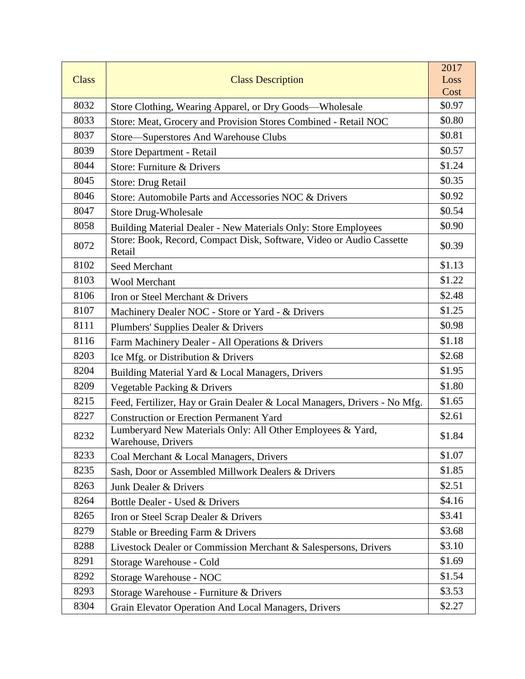|              |                                                                                  | 2017   |
|--------------|----------------------------------------------------------------------------------|--------|
| <b>Class</b> | <b>Class Description</b>                                                         | Loss   |
|              |                                                                                  | Cost   |
| 8032         | Store Clothing, Wearing Apparel, or Dry Goods—Wholesale                          | \$0.97 |
| 8033         | Store: Meat, Grocery and Provision Stores Combined - Retail NOC                  | \$0.80 |
| 8037         | Store-Superstores And Warehouse Clubs                                            | \$0.81 |
| 8039         | Store Department - Retail                                                        | \$0.57 |
| 8044         | Store: Furniture & Drivers                                                       | \$1.24 |
| 8045         | Store: Drug Retail                                                               | \$0.35 |
| 8046         | Store: Automobile Parts and Accessories NOC & Drivers                            | \$0.92 |
| 8047         | <b>Store Drug-Wholesale</b>                                                      | \$0.54 |
| 8058         | Building Material Dealer - New Materials Only: Store Employees                   | \$0.90 |
| 8072         | Store: Book, Record, Compact Disk, Software, Video or Audio Cassette<br>Retail   | \$0.39 |
| 8102         | Seed Merchant                                                                    | \$1.13 |
| 8103         | <b>Wool Merchant</b>                                                             | \$1.22 |
| 8106         | Iron or Steel Merchant & Drivers                                                 | \$2.48 |
| 8107         | Machinery Dealer NOC - Store or Yard - & Drivers                                 | \$1.25 |
| 8111         | Plumbers' Supplies Dealer & Drivers                                              | \$0.98 |
| 8116         | Farm Machinery Dealer - All Operations & Drivers                                 | \$1.18 |
| 8203         | Ice Mfg. or Distribution & Drivers                                               | \$2.68 |
| 8204         | Building Material Yard & Local Managers, Drivers                                 | \$1.95 |
| 8209         | Vegetable Packing & Drivers                                                      | \$1.80 |
| 8215         | Feed, Fertilizer, Hay or Grain Dealer & Local Managers, Drivers - No Mfg.        | \$1.65 |
| 8227         | <b>Construction or Erection Permanent Yard</b>                                   | \$2.61 |
| 8232         | Lumberyard New Materials Only: All Other Employees & Yard,<br>Warehouse, Drivers | \$1.84 |
| 8233         | Coal Merchant & Local Managers, Drivers                                          | \$1.07 |
| 8235         | Sash, Door or Assembled Millwork Dealers & Drivers                               | \$1.85 |
| 8263         | Junk Dealer & Drivers                                                            | \$2.51 |
| 8264         | Bottle Dealer - Used & Drivers                                                   | \$4.16 |
| 8265         | Iron or Steel Scrap Dealer & Drivers                                             | \$3.41 |
| 8279         | Stable or Breeding Farm & Drivers                                                | \$3.68 |
| 8288         | Livestock Dealer or Commission Merchant & Salespersons, Drivers                  | \$3.10 |
| 8291         | Storage Warehouse - Cold                                                         | \$1.69 |
| 8292         | Storage Warehouse - NOC                                                          | \$1.54 |
| 8293         | Storage Warehouse - Furniture & Drivers                                          | \$3.53 |
| 8304         | Grain Elevator Operation And Local Managers, Drivers                             | \$2.27 |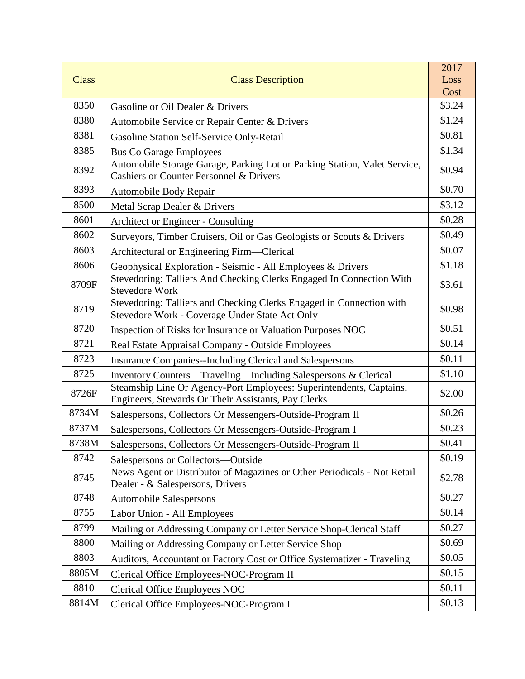|              |                                                                                                                                 | 2017           |
|--------------|---------------------------------------------------------------------------------------------------------------------------------|----------------|
| <b>Class</b> | <b>Class Description</b>                                                                                                        | Loss           |
| 8350         |                                                                                                                                 | Cost<br>\$3.24 |
| 8380         | Gasoline or Oil Dealer & Drivers                                                                                                | \$1.24         |
|              | Automobile Service or Repair Center & Drivers                                                                                   |                |
| 8381         | Gasoline Station Self-Service Only-Retail                                                                                       | \$0.81         |
| 8385         | <b>Bus Co Garage Employees</b>                                                                                                  | \$1.34         |
| 8392         | Automobile Storage Garage, Parking Lot or Parking Station, Valet Service,<br><b>Cashiers or Counter Personnel &amp; Drivers</b> | \$0.94         |
| 8393         | Automobile Body Repair                                                                                                          | \$0.70         |
| 8500         | Metal Scrap Dealer & Drivers                                                                                                    | \$3.12         |
| 8601         | Architect or Engineer - Consulting                                                                                              | \$0.28         |
| 8602         | Surveyors, Timber Cruisers, Oil or Gas Geologists or Scouts & Drivers                                                           | \$0.49         |
| 8603         | Architectural or Engineering Firm—Clerical                                                                                      | \$0.07         |
| 8606         | Geophysical Exploration - Seismic - All Employees & Drivers                                                                     | \$1.18         |
| 8709F        | Stevedoring: Talliers And Checking Clerks Engaged In Connection With<br><b>Stevedore Work</b>                                   | \$3.61         |
| 8719         | Stevedoring: Talliers and Checking Clerks Engaged in Connection with<br>Stevedore Work - Coverage Under State Act Only          | \$0.98         |
| 8720         | Inspection of Risks for Insurance or Valuation Purposes NOC                                                                     | \$0.51         |
| 8721         | Real Estate Appraisal Company - Outside Employees                                                                               | \$0.14         |
| 8723         | <b>Insurance Companies--Including Clerical and Salespersons</b>                                                                 | \$0.11         |
| 8725         | Inventory Counters-Traveling-Including Salespersons & Clerical                                                                  | \$1.10         |
| 8726F        | Steamship Line Or Agency-Port Employees: Superintendents, Captains,<br>Engineers, Stewards Or Their Assistants, Pay Clerks      | \$2.00         |
| 8734M        | Salespersons, Collectors Or Messengers-Outside-Program II                                                                       | \$0.26         |
| 8737M        | Salespersons, Collectors Or Messengers-Outside-Program I                                                                        | \$0.23         |
| 8738M        | Salespersons, Collectors Or Messengers-Outside-Program II                                                                       | \$0.41         |
| 8742         | Salespersons or Collectors—Outside                                                                                              | \$0.19         |
| 8745         | News Agent or Distributor of Magazines or Other Periodicals - Not Retail<br>Dealer - & Salespersons, Drivers                    | \$2.78         |
| 8748         | <b>Automobile Salespersons</b>                                                                                                  | \$0.27         |
| 8755         | Labor Union - All Employees                                                                                                     | \$0.14         |
| 8799         | Mailing or Addressing Company or Letter Service Shop-Clerical Staff                                                             | \$0.27         |
| 8800         | Mailing or Addressing Company or Letter Service Shop                                                                            | \$0.69         |
| 8803         | Auditors, Accountant or Factory Cost or Office Systematizer - Traveling                                                         | \$0.05         |
| 8805M        | Clerical Office Employees-NOC-Program II                                                                                        | \$0.15         |
| 8810         | <b>Clerical Office Employees NOC</b>                                                                                            | \$0.11         |
| 8814M        | Clerical Office Employees-NOC-Program I                                                                                         | \$0.13         |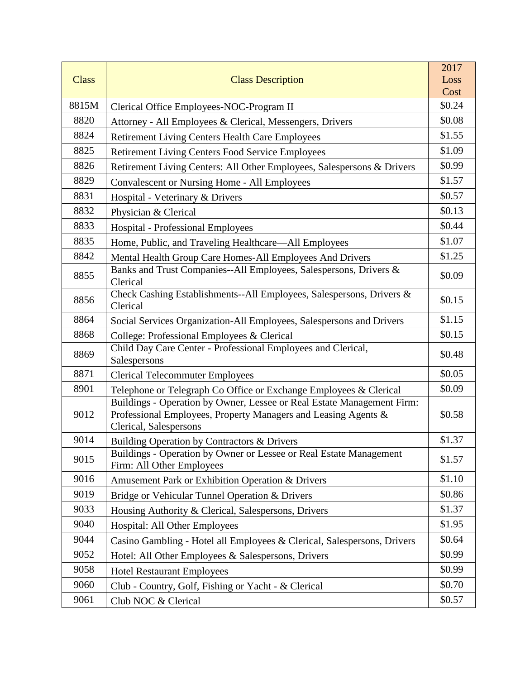|              |                                                                                                                                                                    | 2017   |
|--------------|--------------------------------------------------------------------------------------------------------------------------------------------------------------------|--------|
| <b>Class</b> | <b>Class Description</b>                                                                                                                                           | Loss   |
|              |                                                                                                                                                                    | Cost   |
| 8815M        | Clerical Office Employees-NOC-Program II                                                                                                                           | \$0.24 |
| 8820         | Attorney - All Employees & Clerical, Messengers, Drivers                                                                                                           | \$0.08 |
| 8824         | Retirement Living Centers Health Care Employees                                                                                                                    | \$1.55 |
| 8825         | <b>Retirement Living Centers Food Service Employees</b>                                                                                                            | \$1.09 |
| 8826         | Retirement Living Centers: All Other Employees, Salespersons & Drivers                                                                                             | \$0.99 |
| 8829         | <b>Convalescent or Nursing Home - All Employees</b>                                                                                                                | \$1.57 |
| 8831         | Hospital - Veterinary & Drivers                                                                                                                                    | \$0.57 |
| 8832         | Physician & Clerical                                                                                                                                               | \$0.13 |
| 8833         | <b>Hospital - Professional Employees</b>                                                                                                                           | \$0.44 |
| 8835         | Home, Public, and Traveling Healthcare—All Employees                                                                                                               | \$1.07 |
| 8842         | Mental Health Group Care Homes-All Employees And Drivers                                                                                                           | \$1.25 |
| 8855         | Banks and Trust Companies--All Employees, Salespersons, Drivers &<br>Clerical                                                                                      | \$0.09 |
| 8856         | Check Cashing Establishments--All Employees, Salespersons, Drivers &<br>Clerical                                                                                   | \$0.15 |
| 8864         | Social Services Organization-All Employees, Salespersons and Drivers                                                                                               | \$1.15 |
| 8868         | College: Professional Employees & Clerical                                                                                                                         | \$0.15 |
| 8869         | Child Day Care Center - Professional Employees and Clerical,<br>Salespersons                                                                                       | \$0.48 |
| 8871         | <b>Clerical Telecommuter Employees</b>                                                                                                                             | \$0.05 |
| 8901         | Telephone or Telegraph Co Office or Exchange Employees & Clerical                                                                                                  | \$0.09 |
| 9012         | Buildings - Operation by Owner, Lessee or Real Estate Management Firm:<br>Professional Employees, Property Managers and Leasing Agents &<br>Clerical, Salespersons | \$0.58 |
| 9014         | Building Operation by Contractors & Drivers                                                                                                                        | \$1.37 |
| 9015         | Buildings - Operation by Owner or Lessee or Real Estate Management<br>Firm: All Other Employees                                                                    | \$1.57 |
| 9016         | Amusement Park or Exhibition Operation & Drivers                                                                                                                   | \$1.10 |
| 9019         | Bridge or Vehicular Tunnel Operation & Drivers                                                                                                                     | \$0.86 |
| 9033         | Housing Authority & Clerical, Salespersons, Drivers                                                                                                                | \$1.37 |
| 9040         | Hospital: All Other Employees                                                                                                                                      | \$1.95 |
| 9044         | Casino Gambling - Hotel all Employees & Clerical, Salespersons, Drivers                                                                                            | \$0.64 |
| 9052         | Hotel: All Other Employees & Salespersons, Drivers                                                                                                                 | \$0.99 |
| 9058         | <b>Hotel Restaurant Employees</b>                                                                                                                                  | \$0.99 |
| 9060         | Club - Country, Golf, Fishing or Yacht - & Clerical                                                                                                                | \$0.70 |
| 9061         | Club NOC & Clerical                                                                                                                                                | \$0.57 |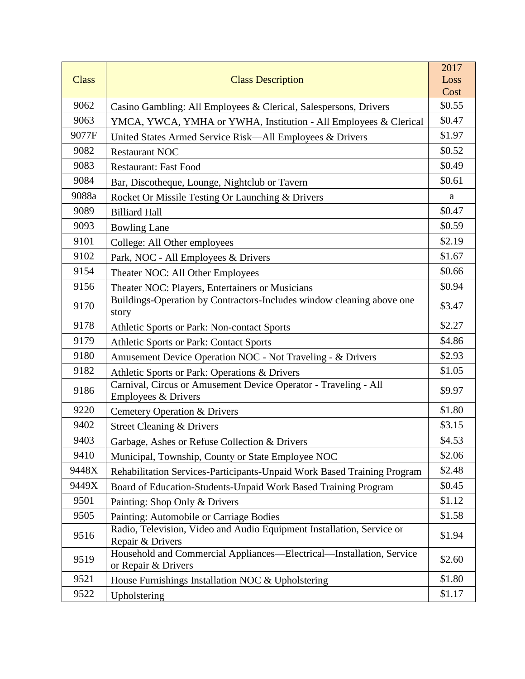|              |                                                                                             | 2017   |
|--------------|---------------------------------------------------------------------------------------------|--------|
| <b>Class</b> | <b>Class Description</b>                                                                    | Loss   |
|              |                                                                                             | Cost   |
| 9062         | Casino Gambling: All Employees & Clerical, Salespersons, Drivers                            | \$0.55 |
| 9063         | YMCA, YWCA, YMHA or YWHA, Institution - All Employees & Clerical                            | \$0.47 |
| 9077F        | United States Armed Service Risk—All Employees & Drivers                                    | \$1.97 |
| 9082         | <b>Restaurant NOC</b>                                                                       | \$0.52 |
| 9083         | <b>Restaurant: Fast Food</b>                                                                | \$0.49 |
| 9084         | Bar, Discotheque, Lounge, Nightclub or Tavern                                               | \$0.61 |
| 9088a        | Rocket Or Missile Testing Or Launching & Drivers                                            | a      |
| 9089         | <b>Billiard Hall</b>                                                                        | \$0.47 |
| 9093         | <b>Bowling Lane</b>                                                                         | \$0.59 |
| 9101         | College: All Other employees                                                                | \$2.19 |
| 9102         | Park, NOC - All Employees & Drivers                                                         | \$1.67 |
| 9154         | Theater NOC: All Other Employees                                                            | \$0.66 |
| 9156         | Theater NOC: Players, Entertainers or Musicians                                             | \$0.94 |
| 9170         | Buildings-Operation by Contractors-Includes window cleaning above one<br>story              | \$3.47 |
| 9178         | Athletic Sports or Park: Non-contact Sports                                                 | \$2.27 |
| 9179         | Athletic Sports or Park: Contact Sports                                                     | \$4.86 |
| 9180         | Amusement Device Operation NOC - Not Traveling - & Drivers                                  | \$2.93 |
| 9182         | Athletic Sports or Park: Operations & Drivers                                               | \$1.05 |
| 9186         | Carnival, Circus or Amusement Device Operator - Traveling - All<br>Employees & Drivers      | \$9.97 |
| 9220         | <b>Cemetery Operation &amp; Drivers</b>                                                     | \$1.80 |
| 9402         | <b>Street Cleaning &amp; Drivers</b>                                                        | \$3.15 |
| 9403         | Garbage, Ashes or Refuse Collection & Drivers                                               | \$4.53 |
| 9410         | Municipal, Township, County or State Employee NOC                                           | \$2.06 |
| 9448X        | Rehabilitation Services-Participants-Unpaid Work Based Training Program                     | \$2.48 |
| 9449X        | Board of Education-Students-Unpaid Work Based Training Program                              | \$0.45 |
| 9501         | Painting: Shop Only & Drivers                                                               | \$1.12 |
| 9505         | Painting: Automobile or Carriage Bodies                                                     | \$1.58 |
| 9516         | Radio, Television, Video and Audio Equipment Installation, Service or<br>Repair & Drivers   | \$1.94 |
| 9519         | Household and Commercial Appliances—Electrical—Installation, Service<br>or Repair & Drivers | \$2.60 |
| 9521         | House Furnishings Installation NOC & Upholstering                                           | \$1.80 |
| 9522         | Upholstering                                                                                | \$1.17 |